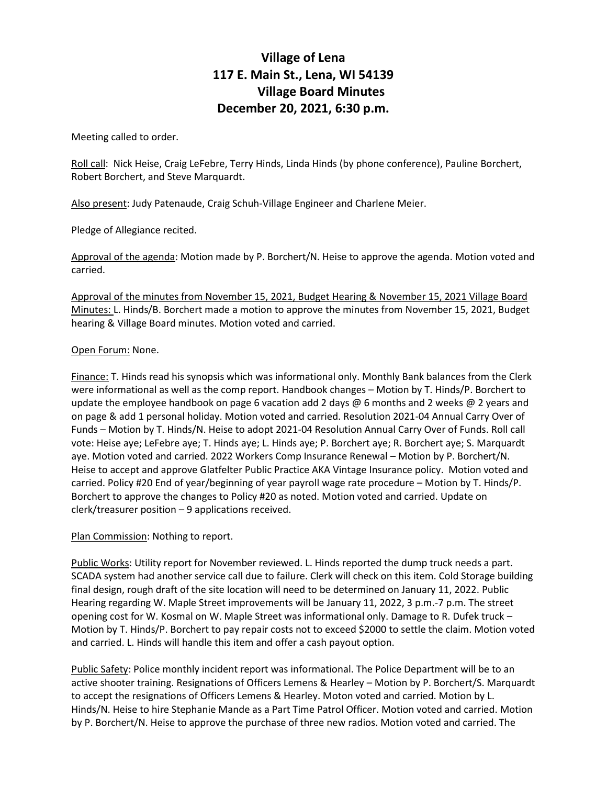## **Village of Lena 117 E. Main St., Lena, WI 54139 Village Board Minutes December 20, 2021, 6:30 p.m.**

Meeting called to order.

Roll call: Nick Heise, Craig LeFebre, Terry Hinds, Linda Hinds (by phone conference), Pauline Borchert, Robert Borchert, and Steve Marquardt.

Also present: Judy Patenaude, Craig Schuh-Village Engineer and Charlene Meier.

Pledge of Allegiance recited.

Approval of the agenda: Motion made by P. Borchert/N. Heise to approve the agenda. Motion voted and carried.

Approval of the minutes from November 15, 2021, Budget Hearing & November 15, 2021 Village Board Minutes: L. Hinds/B. Borchert made a motion to approve the minutes from November 15, 2021, Budget hearing & Village Board minutes. Motion voted and carried.

## Open Forum: None.

Finance: T. Hinds read his synopsis which was informational only. Monthly Bank balances from the Clerk were informational as well as the comp report. Handbook changes – Motion by T. Hinds/P. Borchert to update the employee handbook on page 6 vacation add 2 days  $\emptyset$  6 months and 2 weeks  $\emptyset$  2 years and on page & add 1 personal holiday. Motion voted and carried. Resolution 2021-04 Annual Carry Over of Funds – Motion by T. Hinds/N. Heise to adopt 2021-04 Resolution Annual Carry Over of Funds. Roll call vote: Heise aye; LeFebre aye; T. Hinds aye; L. Hinds aye; P. Borchert aye; R. Borchert aye; S. Marquardt aye. Motion voted and carried. 2022 Workers Comp Insurance Renewal – Motion by P. Borchert/N. Heise to accept and approve Glatfelter Public Practice AKA Vintage Insurance policy. Motion voted and carried. Policy #20 End of year/beginning of year payroll wage rate procedure – Motion by T. Hinds/P. Borchert to approve the changes to Policy #20 as noted. Motion voted and carried. Update on clerk/treasurer position – 9 applications received.

## Plan Commission: Nothing to report.

Public Works: Utility report for November reviewed. L. Hinds reported the dump truck needs a part. SCADA system had another service call due to failure. Clerk will check on this item. Cold Storage building final design, rough draft of the site location will need to be determined on January 11, 2022. Public Hearing regarding W. Maple Street improvements will be January 11, 2022, 3 p.m.-7 p.m. The street opening cost for W. Kosmal on W. Maple Street was informational only. Damage to R. Dufek truck – Motion by T. Hinds/P. Borchert to pay repair costs not to exceed \$2000 to settle the claim. Motion voted and carried. L. Hinds will handle this item and offer a cash payout option.

Public Safety: Police monthly incident report was informational. The Police Department will be to an active shooter training. Resignations of Officers Lemens & Hearley – Motion by P. Borchert/S. Marquardt to accept the resignations of Officers Lemens & Hearley. Moton voted and carried. Motion by L. Hinds/N. Heise to hire Stephanie Mande as a Part Time Patrol Officer. Motion voted and carried. Motion by P. Borchert/N. Heise to approve the purchase of three new radios. Motion voted and carried. The